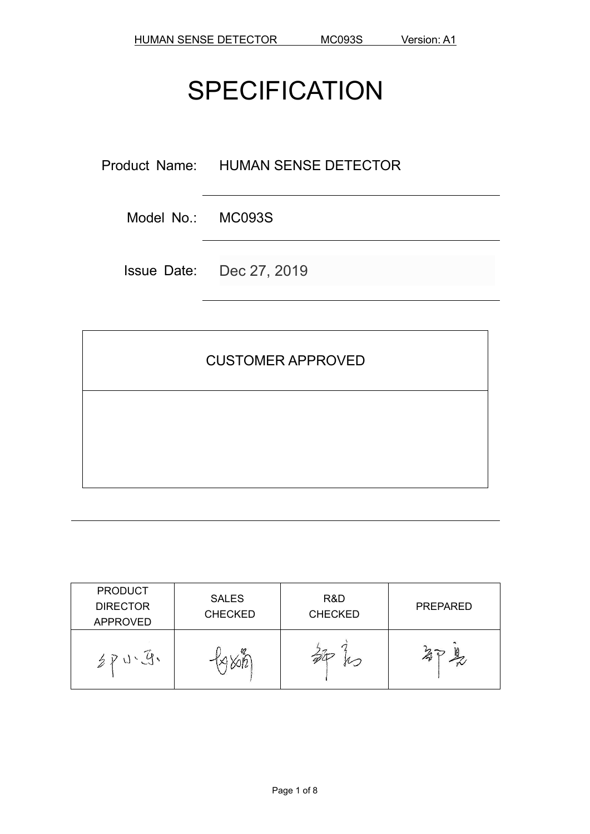# **SPECIFICATION**

Product Name: HUMAN SENSE DETECTOR

Model No.: MC093S

Issue Date: Dec 27, 2019

# CUSTOMER APPROVED

| <b>PRODUCT</b><br><b>DIRECTOR</b><br><b>APPROVED</b> | <b>SALES</b><br><b>CHECKED</b> | R&D<br><b>CHECKED</b> | <b>PREPARED</b> |
|------------------------------------------------------|--------------------------------|-----------------------|-----------------|
|                                                      |                                | $\sim$                |                 |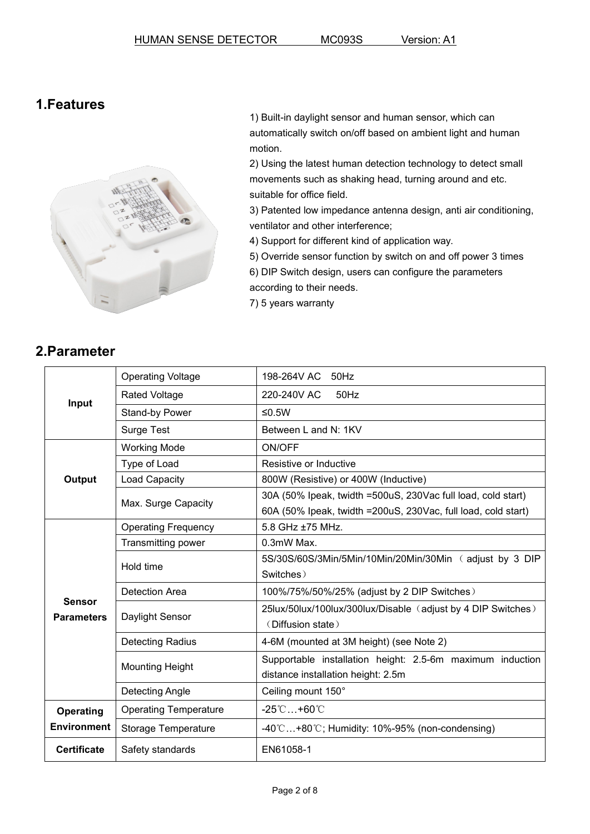#### **1.Features**



1) Built-in daylight sensor and human sensor, which can automatically switch on/off based on ambient light and human motion.

2) Using the latest human detection technology to detect small movements such as shaking head, turning around and etc. suitable for office field.

3) Patented low impedance antenna design, anti air conditioning, ventilator and other interference;

4) Support for different kind of application way.

5) Override sensor function by switch on and off power 3 times

6) DIP Switch design, users can configure the parameters according to their needs.

7) 5 years warranty

## **2.Parameter**

|                                    | <b>Operating Voltage</b>     | 198-264V AC<br>50Hz                                                                             |
|------------------------------------|------------------------------|-------------------------------------------------------------------------------------------------|
|                                    | <b>Rated Voltage</b>         | 220-240V AC<br>50Hz                                                                             |
| Input                              | Stand-by Power               | $≤0.5W$                                                                                         |
|                                    | <b>Surge Test</b>            | Between L and N: 1KV                                                                            |
|                                    | <b>Working Mode</b>          | ON/OFF                                                                                          |
|                                    | Type of Load                 | Resistive or Inductive                                                                          |
| Output                             | Load Capacity                | 800W (Resistive) or 400W (Inductive)                                                            |
|                                    | Max. Surge Capacity          | 30A (50% Ipeak, twidth =500uS, 230Vac full load, cold start)                                    |
|                                    |                              | 60A (50% Ipeak, twidth = 200uS, 230Vac, full load, cold start)                                  |
|                                    | <b>Operating Frequency</b>   | 5.8 GHz ±75 MHz.                                                                                |
|                                    | Transmitting power           | 0.3mW Max.                                                                                      |
|                                    | Hold time                    | 5S/30S/60S/3Min/5Min/10Min/20Min/30Min (adjust by 3 DIP                                         |
|                                    |                              | Switches)                                                                                       |
|                                    | <b>Detection Area</b>        | 100%/75%/50%/25% (adjust by 2 DIP Switches)                                                     |
| <b>Sensor</b><br><b>Parameters</b> | Daylight Sensor              | 25lux/50lux/100lux/300lux/Disable (adjust by 4 DIP Switches)<br>(Diffusion state)               |
|                                    | <b>Detecting Radius</b>      | 4-6M (mounted at 3M height) (see Note 2)                                                        |
|                                    | <b>Mounting Height</b>       | Supportable installation height: 2.5-6m maximum induction<br>distance installation height: 2.5m |
|                                    | Detecting Angle              | Ceiling mount 150°                                                                              |
| Operating                          | <b>Operating Temperature</b> | $-25^{\circ}$ C +60 $^{\circ}$ C                                                                |
| <b>Environment</b>                 | Storage Temperature          | $-40^{\circ}$ C+80 $\circ$ C; Humidity: 10%-95% (non-condensing)                                |
| <b>Certificate</b>                 | Safety standards             | EN61058-1                                                                                       |
|                                    |                              |                                                                                                 |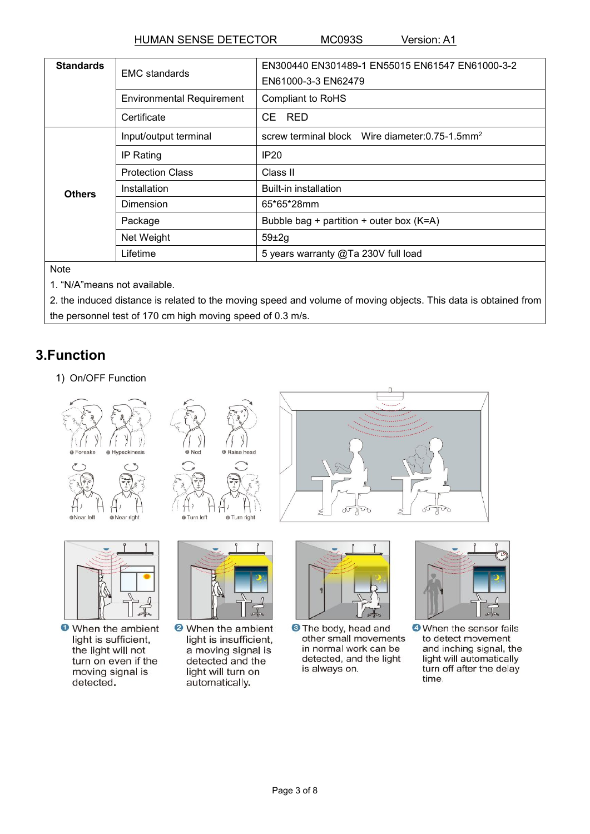HUMAN SENSE DETECTOR MC093S Version: A1

| <b>Standards</b>           | <b>EMC</b> standards             | EN300440 EN301489-1 EN55015 EN61547 EN61000-3-2                |  |  |
|----------------------------|----------------------------------|----------------------------------------------------------------|--|--|
|                            |                                  | EN61000-3-3 EN62479                                            |  |  |
|                            | <b>Environmental Requirement</b> | <b>Compliant to RoHS</b>                                       |  |  |
|                            | Certificate                      | CE RED                                                         |  |  |
|                            | Input/output terminal            | screw terminal block Wire diameter: $0.75$ -1.5mm <sup>2</sup> |  |  |
| IP Rating<br><b>Others</b> |                                  | IP20                                                           |  |  |
|                            | <b>Protection Class</b>          | Class II                                                       |  |  |
|                            | Installation                     | <b>Built-in installation</b>                                   |  |  |
|                            | Dimension                        | 65*65*28mm                                                     |  |  |
| Package                    |                                  | Bubble bag + partition + outer box (K=A)                       |  |  |
|                            | Net Weight                       | $59\pm2g$                                                      |  |  |
|                            | Lifetime                         | 5 years warranty @Ta 230V full load                            |  |  |

**Note** 

1. "N/A"means not available.

2. the induced distance is related to the moving speed and volume of moving objects. This data is obtained from the personnel test of 170 cm high moving speed of 0.3 m/s.

# **3.Function**

1) On/OFF Function







**O** When the ambient light is sufficient, the light will not turn on even if the moving signal is detected.





<sup>2</sup> When the ambient light is insufficient, a moving signal is detected and the light will turn on automatically.



75

<sup>3</sup> The body, head and other small movements in normal work can be detected, and the light is always on.



**O** When the sensor fails to detect movement and inching signal, the light will automatically turn off after the delay time.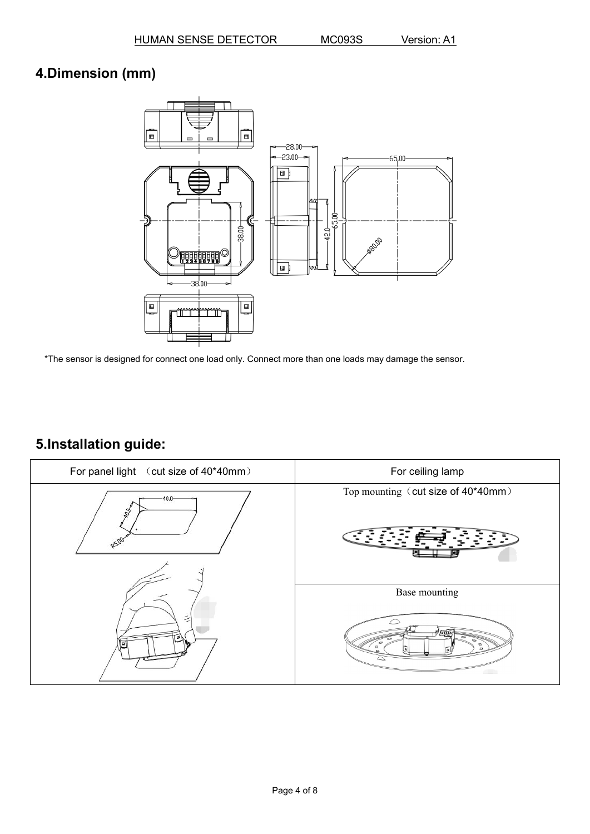# **4.Dimension (mm)**



\*The sensor is designed for connect one load only. Connect more than one loads may damage the sensor.

# **5.Installation guide:**

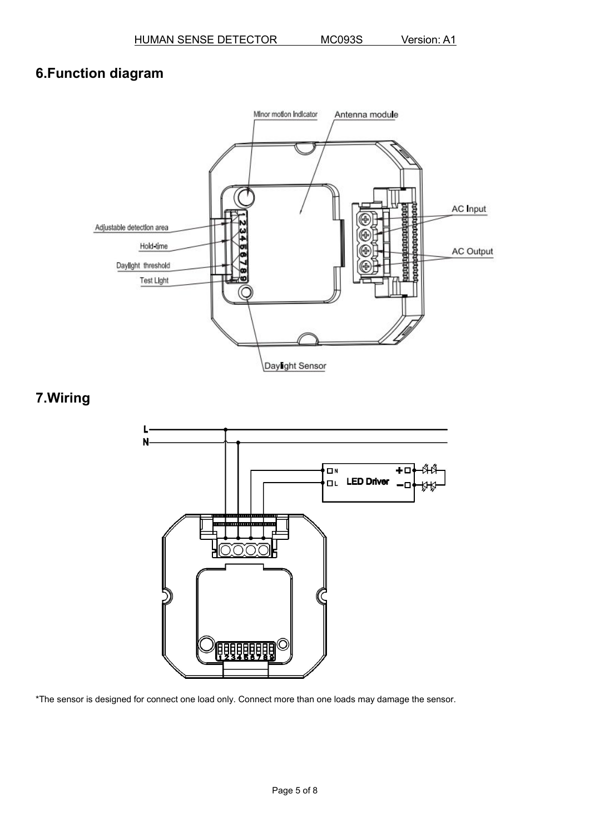# **6.Function diagram**



## **7.Wiring**



\*The sensor is designed for connect one load only. Connect more than one loads may damage the sensor.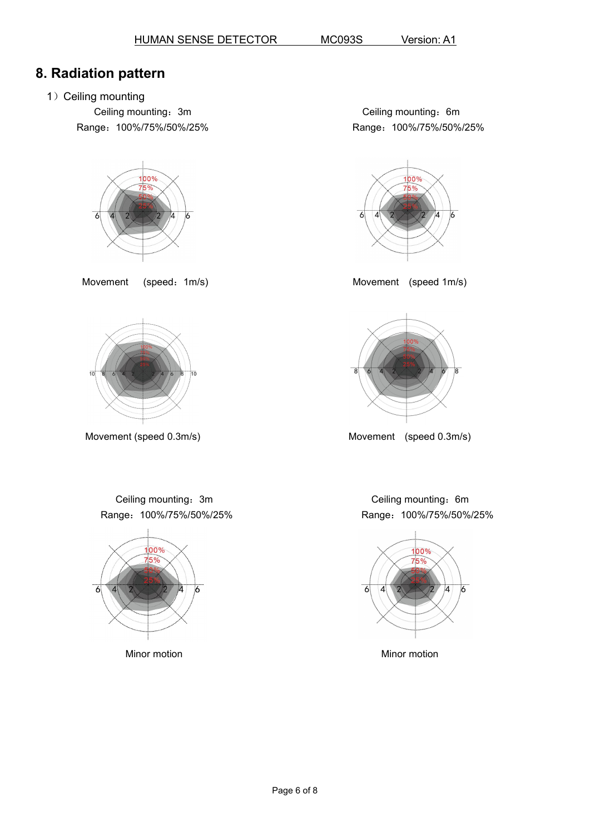## **8. Radiation pattern**

1) Ceiling mounting

Ceiling mounting: 3m Range:100%/75%/50%/25%



Movement (speed: 1m/s) Movement (speed 1m/s)









Movement (speed 0.3m/s) Movement (speed 0.3m/s)

Ceiling mounting: 3m Range:100%/75%/50%/25%



Ceiling mounting: 6m Range:100%/75%/50%/25%

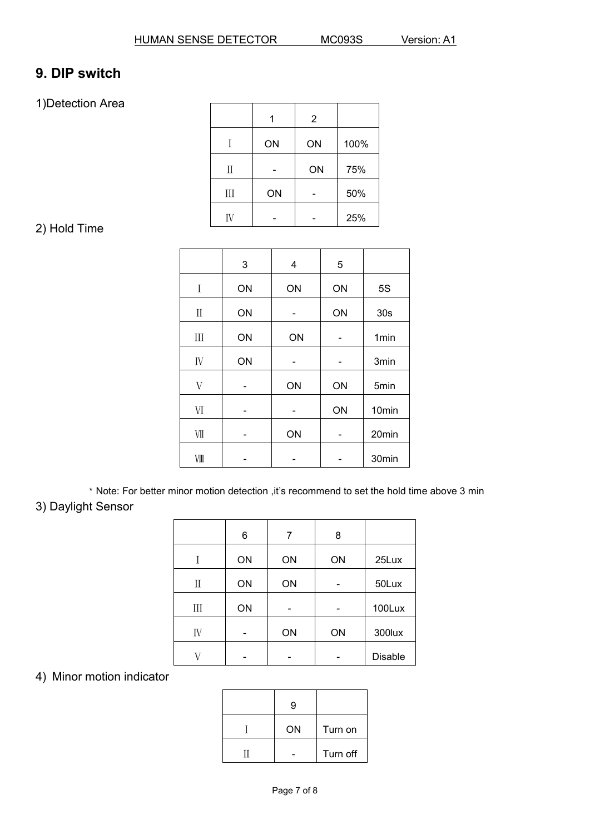# **9. DIP switch**

1)Detection Area

|         | 1  | $\overline{2}$ |      |
|---------|----|----------------|------|
| Ι       | ON | ON             | 100% |
| $\prod$ | ۰  | ON             | 75%  |
| III     | ON | -              | 50%  |
| IV      | -  |                | 25%  |

## 2) Hold Time

|                                 | 3  | $\overline{\mathbf{4}}$ | 5  |                   |
|---------------------------------|----|-------------------------|----|-------------------|
| $\bf{I}$                        | ON | ON                      | ON | 5S                |
| $\rm II$                        | ON | -                       | ON | 30s               |
| $\rm III$                       | ON | ON                      | ۰  | 1 <sub>min</sub>  |
| ${\rm IV}$                      | ON |                         |    | 3min              |
| V                               | -  | ON                      | ON | 5min              |
| $\ensuremath{\text{VI}}\xspace$ | -  | -                       | ON | 10 <sub>min</sub> |
| $\rm{VII}$                      | -  | ON                      | ۰  | 20min             |
| VIII                            | -  | ٠                       | ۰  | 30min             |

\* Note: For better minor motion detection ,it's recommend to set the hold time above 3 min

## 3) Daylight Sensor

|           | 6              | 7  | 8                        |         |
|-----------|----------------|----|--------------------------|---------|
| Ι         | ON             | ON | ON                       | 25Lux   |
| $\rm II$  | ON             | ON | ۰                        | 50Lux   |
| $\rm III$ | ON             | ۰  | $\blacksquare$           | 100Lux  |
| IV        | $\blacksquare$ | ON | ON                       | 300lux  |
| V         |                |    | $\overline{\phantom{a}}$ | Disable |

#### 4) Minor motion indicator

| ON | Turn on  |
|----|----------|
|    | Turn off |